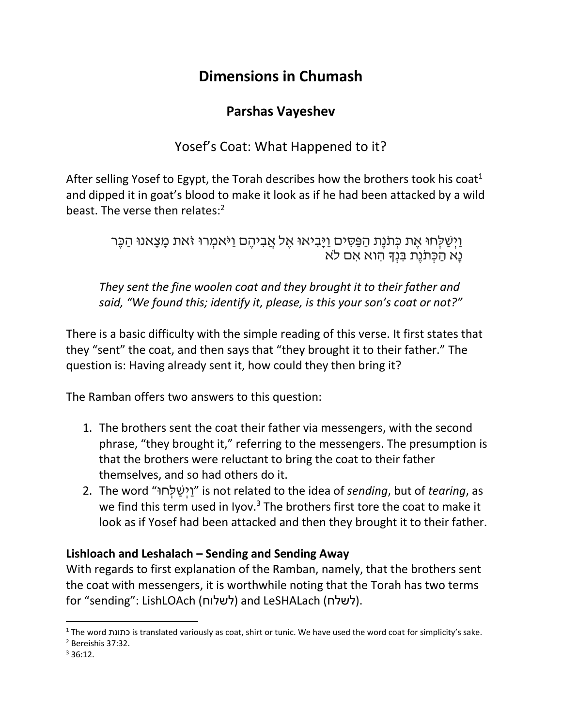# **Dimensions in Chumash**

## **Parshas Vayeshev**

Yosef's Coat: What Happened to it?

After selling Yosef to Egypt, the Torah describes how the brothers took his coat<sup>1</sup> and dipped it in goat's blood to make it look as if he had been attacked by a wild beast. The verse then relates:<sup>2</sup>

> וַיִּשַׁלְחוּ אֶת כְּתֹּנֵת הַפַּסִּים וַיַּבְיאוּ אֵל אֲבִיהֵם וַיֹּאמְרוּ זֹאת מָצָאנוּ הַכֶּר נָּא הַ כְ תֹנֶת בִּ נְָך הִּ וא אִּ ם ֹלא

*They sent the fine woolen coat and they brought it to their father and said, "We found this; identify it, please, is this your son's coat or not?"*

There is a basic difficulty with the simple reading of this verse. It first states that they "sent" the coat, and then says that "they brought it to their father." The question is: Having already sent it, how could they then bring it?

The Ramban offers two answers to this question:

- 1. The brothers sent the coat their father via messengers, with the second phrase, "they brought it," referring to the messengers. The presumption is that the brothers were reluctant to bring the coat to their father themselves, and so had others do it.
- 2. The word "וּח ְל ַש ְיַו "is not related to the idea of *sending*, but of *tearing*, as we find this term used in Iyov. $3$  The brothers first tore the coat to make it look as if Yosef had been attacked and then they brought it to their father.

## **Lishloach and Leshalach – Sending and Sending Away**

With regards to first explanation of the Ramban, namely, that the brothers sent the coat with messengers, it is worthwhile noting that the Torah has two terms for "sending": LishLOAch (לשלוח (and LeSHALach (לשלח(.

 $\overline{\phantom{a}}$ <sup>1</sup> The word כתונת is translated variously as coat, shirt or tunic. We have used the word coat for simplicity's sake.

<sup>2</sup> Bereishis 37:32.

 $336.12$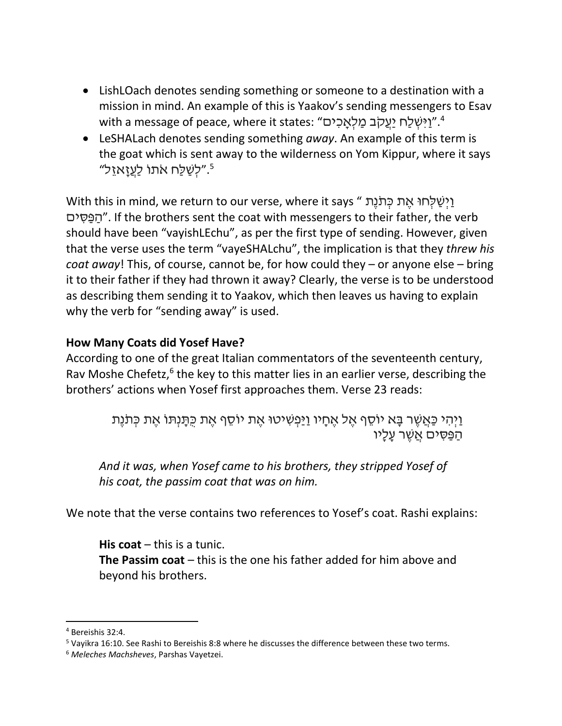- LishLOach denotes sending something or someone to a destination with a mission in mind. An example of this is Yaakov's sending messengers to Esav ווֹא with a message of peace, where it states: "וַיִּשְׁלַח יַעֲקֹב מַלְאֲכִים".
- LeSHALach denotes sending something *away*. An example of this term is the goat which is sent away to the wilderness on Yom Kippur, where it says "לְשַׁלַּח אֹתוֹ לַעֲזָאזֵל"

וַיְשַׁלְחוּ אֶת כְּתֹנֶת " With this in mind, we return to our verse, where it says ים ִּס ַפ ַה". If the brothers sent the coat with messengers to their father, the verb should have been "vayishLEchu", as per the first type of sending. However, given that the verse uses the term "vayeSHALchu", the implication is that they *threw his coat away*! This, of course, cannot be, for how could they – or anyone else – bring it to their father if they had thrown it away? Clearly, the verse is to be understood as describing them sending it to Yaakov, which then leaves us having to explain why the verb for "sending away" is used.

#### **How Many Coats did Yosef Have?**

According to one of the great Italian commentators of the seventeenth century, Rav Moshe Chefetz,<sup>6</sup> the key to this matter lies in an earlier verse, describing the brothers' actions when Yosef first approaches them. Verse 23 reads:

> וַיְהִי כַּאֲשֶׁר בָּא יוֹסֵף אֶל אֶחָיו וַיַּפְשִׁיטוּ אֶת יוֹסֵף אֶת כְּתָּנְתּוֹ אֶת כִּתֹּנֶת הפּסים אַשָׁר עַליו

*And it was, when Yosef came to his brothers, they stripped Yosef of his coat, the passim coat that was on him.*

We note that the verse contains two references to Yosef's coat. Rashi explains:

**His coat** – this is a tunic. **The Passim coat** – this is the one his father added for him above and beyond his brothers.

 $\overline{\phantom{a}}$ 

<sup>4</sup> Bereishis 32:4.

 $5$  Vayikra 16:10. See Rashi to Bereishis 8:8 where he discusses the difference between these two terms.

<sup>6</sup> *Meleches Machsheves*, Parshas Vayetzei.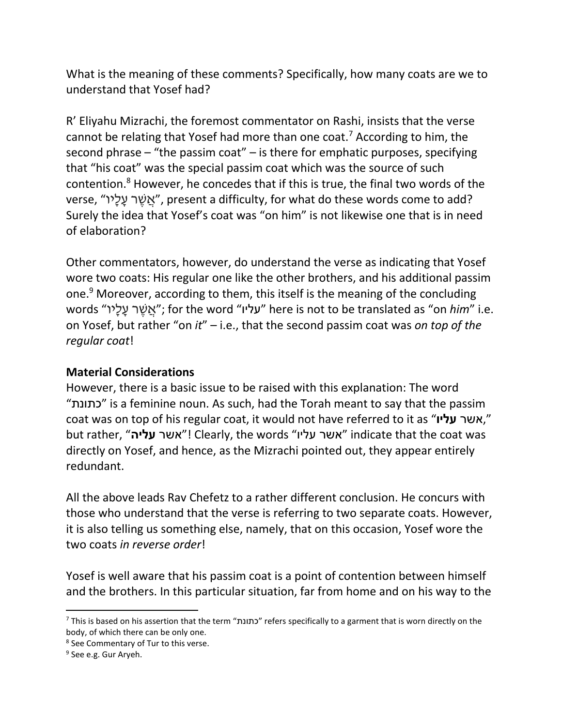What is the meaning of these comments? Specifically, how many coats are we to understand that Yosef had?

R' Eliyahu Mizrachi, the foremost commentator on Rashi, insists that the verse cannot be relating that Yosef had more than one coat.<sup>7</sup> According to him, the second phrase – "the passim coat" – is there for emphatic purposes, specifying that "his coat" was the special passim coat which was the source of such contention. <sup>8</sup> However, he concedes that if this is true, the final two words of the verse, "אֲשֶׁר עֲלֵיי", present a difficulty, for what do these words come to add? Surely the idea that Yosef's coat was "on him" is not likewise one that is in need of elaboration?

Other commentators, however, do understand the verse as indicating that Yosef wore two coats: His regular one like the other brothers, and his additional passim one.<sup>9</sup> Moreover, according to them, this itself is the meaning of the concluding words "יוָּל ָּע ר ֶש ֲא ;"for the word "עליו "here is not to be translated as "on *him*" i.e. on Yosef, but rather "on *it*" – i.e., that the second passim coat was *on top of the regular coat*!

#### **Material Considerations**

However, there is a basic issue to be raised with this explanation: The word "כתונת "is a feminine noun. As such, had the Torah meant to say that the passim coat was on top of his regular coat, it would not have referred to it as "**עליו** אשר, " but rather, "**עליה** אשר !"Clearly, the words "עליו אשר "indicate that the coat was directly on Yosef, and hence, as the Mizrachi pointed out, they appear entirely redundant.

All the above leads Rav Chefetz to a rather different conclusion. He concurs with those who understand that the verse is referring to two separate coats. However, it is also telling us something else, namely, that on this occasion, Yosef wore the two coats *in reverse order*!

Yosef is well aware that his passim coat is a point of contention between himself and the brothers. In this particular situation, far from home and on his way to the

 $\overline{a}$ 

 $^7$  This is based on his assertion that the term "כתונת" refers specifically to a garment that is worn directly on the body, of which there can be only one.

<sup>&</sup>lt;sup>8</sup> See Commentary of Tur to this verse.

<sup>&</sup>lt;sup>9</sup> See e.g. Gur Aryeh.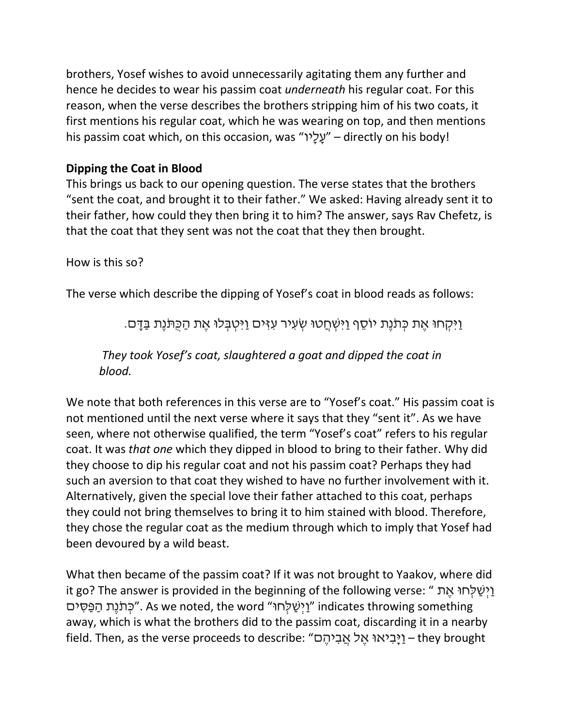brothers, Yosef wishes to avoid unnecessarily agitating them any further and hence he decides to wear his passim coat *underneath* his regular coat. For this reason, when the verse describes the brothers stripping him of his two coats, it first mentions his regular coat, which he was wearing on top, and then mentions his passim coat which, on this occasion, was "יַעֲלָיו" – directly on his body!

### **Dipping the Coat in Blood**

This brings us back to our opening question. The verse states that the brothers "sent the coat, and brought it to their father." We asked: Having already sent it to their father, how could they then bring it to him? The answer, says Rav Chefetz, is that the coat that they sent was not the coat that they then brought.

How is this so?

The verse which describe the dipping of Yosef's coat in blood reads as follows:

וַיִּ קְ חּו אֶ ת כְ תֹנֶת יוֹסֵ ף וַיִּ שְ חֲ טּו שְ עִּ יר עִּ זִּ ים וַיִּטְ בְ לּו אֶ ת הַ כֻּתֹנֶת בַ דָּ ם.

*They took Yosef's coat, slaughtered a goat and dipped the coat in blood.*

We note that both references in this verse are to "Yosef's coat." His passim coat is not mentioned until the next verse where it says that they "sent it". As we have seen, where not otherwise qualified, the term "Yosef's coat" refers to his regular coat. It was *that one* which they dipped in blood to bring to their father. Why did they choose to dip his regular coat and not his passim coat? Perhaps they had such an aversion to that coat they wished to have no further involvement with it. Alternatively, given the special love their father attached to this coat, perhaps they could not bring themselves to bring it to him stained with blood. Therefore, they chose the regular coat as the medium through which to imply that Yosef had been devoured by a wild beast.

What then became of the passim coat? If it was not brought to Yaakov, where did it go? The answer is provided in the beginning of the following verse: " וֵישַׁלְחוּ אֵת יַרְ נֵת הַפֵּסִים". As we noted, the word "וַיְשַׁלְחוּ" indicates throwing something away, which is what the brothers did to the passim coat, discarding it in a nearby field. Then, as the verse proceeds to describe: "וַיָּבִיאוּ אֱל אֲבִיהֶם – they brought